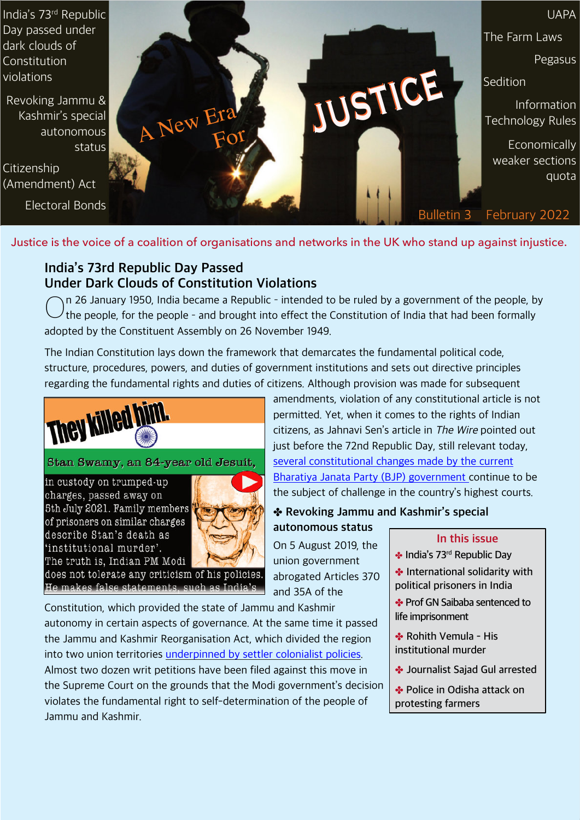India's 73rd Republic Day passed under dark clouds of Constitution violations

Revoking Jammu & Kashmir's special autonomous status

Citizenship (Amendment) Act

Electoral Bonds



Justice is the voice of a coalition of organisations and networks in the UK who stand up against injustice.

# **India's 73rd Republic Day Passed Under Dark Clouds of Constitution Violations**

 $\bigcirc$ n 26 January 1950, India became a Republic - intended to be ruled by a government of the people, by the people, for the people - and brought into effect the Constitution of India that had been formally adopted by the Constituent Assembly on 26 November 1949.

The Indian Constitution lays down the framework that demarcates the fundamental political code, structure, procedures, powers, and duties of government institutions and sets out directive principles regarding the fundamental rights and duties of citizens. Although provision was made for subsequent



# Stan Swamy, an 84-year old Jesuit,

in custody on trumped-up charges, passed away on 5th July 2021. Family members of prisoners on similar charges describe Stan's death as 'institutional murder'. The truth is, Indian PM Modi



does not tolerate any criticism of his policies. He makes false statements, such as India's

Constitution, which provided the state of Jammu and Kashmir autonomy in certain aspects of governance. At the same time it passed the Jammu and Kashmir Reorganisation Act, which divided the region into two union territories [underpinned by settler colonialist policies](https://harvardlawreview.org/2021/05/from-domicile-to-dominion-indias-settler-colonial-agenda-in-kashmir/). Almost two dozen writ petitions have been filed against this move in the Supreme Court on the grounds that the Modi government's decision violates the fundamental right to self-determination of the people of Jammu and Kashmir.

amendments, violation of any constitutional article is not permitted. Yet, when it comes to the rights of Indian citizens, as Jahnavi Sen's article in The Wire pointed out just before the 72nd Republic Day, still relevant today, [several constitutional changes made by the current](https://thewire.in/law/constitution-day-court-challenges-basic-rights) [Bharatiya Janata Party \(BJP\) government](https://thewire.in/law/constitution-day-court-challenges-basic-rights) continue to be the subject of challenge in the country's highest courts.

### ✤ **Revoking Jammu and Kashmir's special**

**autonomous status** On 5 August 2019, the union government abrogated Articles 370 and 35A of the

#### **In this issue**

- ✤ **India's 73rd Republic Day**
- ✤ **International solidarity with political prisoners in India**
- ✤ **Prof GN Saibaba sentenced to life imprisonment**
- ✤ **Rohith Vemula His institutional murder**
- ✤ **Journalist Sajad Gul arrested**
- ✤ **Police in Odisha attack on protesting farmers**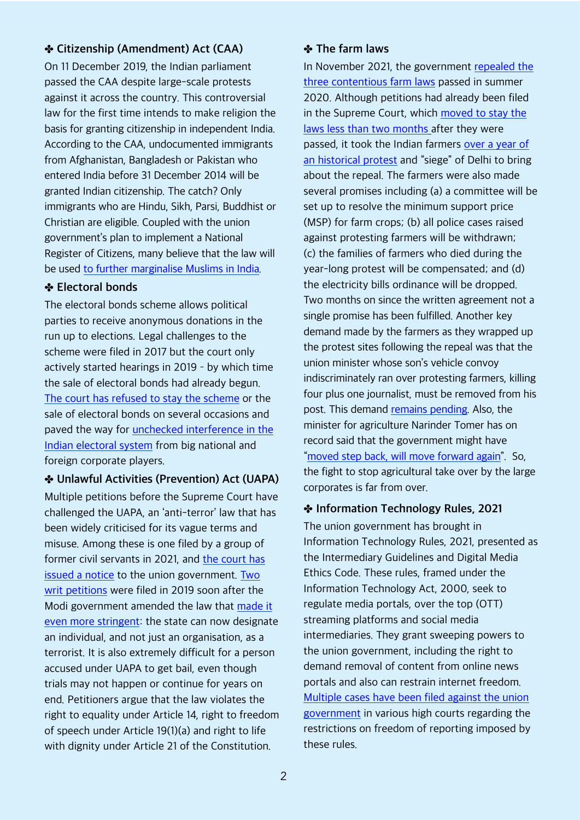### ✤ **Citizenship (Amendment) Act (CAA)**

On 11 December 2019, the Indian parliament passed the CAA despite large-scale protests against it across the country. This controversial law for the first time intends to make religion the basis for granting citizenship in independent India. According to the CAA, undocumented immigrants from Afghanistan, Bangladesh or Pakistan who entered India before 31 December 2014 will be granted Indian citizenship. The catch? Only immigrants who are Hindu, Sikh, Parsi, Buddhist or Christian are eligible. Coupled with the union government's plan to implement a National Register of Citizens, many believe that the law will be used [to further marginalise Muslims in India](https://foreignpolicy.com/2020/02/21/india-muslims-deported-terrified-citizenship-amendment-act-caa/).

#### ✤ **Electoral bonds**

The electoral bonds scheme allows political parties to receive anonymous donations in the run up to elections. Legal challenges to the scheme were filed in 2017 but the court only actively started hearings in 2019 - by which time the sale of electoral bonds had already begun. [The court has refused to stay the scheme](https://thewire.in/law/sc-refuses-to-grant-interim-stay-on-electoral-bonds-seeks-response-from-centre-ec) or the sale of electoral bonds on several occasions and paved the way for [unchecked interference in the](https://carnegieendowment.org/2019/12/06/have-electoral-bonds-made-bad-system-worse-pub-80519) [Indian electoral system](https://carnegieendowment.org/2019/12/06/have-electoral-bonds-made-bad-system-worse-pub-80519) from big national and foreign corporate players.

✤ **Unlawful Activities (Prevention) Act (UAPA)** Multiple petitions before the Supreme Court have challenged the UAPA, an 'anti-terror' law that has been widely criticised for its vague terms and misuse. Among these is one filed by a group of former civil servants in 2021, and [the court has](https://www.deccanherald.com/national/sc-notice-to-centre-on-plea-by-ex-civil-servants-against-uapa-1051793.html) [issued a notice](https://www.deccanherald.com/national/sc-notice-to-centre-on-plea-by-ex-civil-servants-against-uapa-1051793.html) to the union government. [Two](https://thewire.in/rights/uapa-bjp-terrorist-amit-shah-nia) [writ petitions](https://thewire.in/rights/uapa-bjp-terrorist-amit-shah-nia) were filed in 2019 soon after the Modi government amended the law that [made it](https://www.scobserver.in/reports/sajal-awasthi-union-of-india-constitutionality-of-uapa-amendment-writ-petitions-summary/) [even more stringent](https://www.scobserver.in/reports/sajal-awasthi-union-of-india-constitutionality-of-uapa-amendment-writ-petitions-summary/): the state can now designate an individual, and not just an organisation, as a terrorist. It is also extremely difficult for a person accused under UAPA to get bail, even though trials may not happen or continue for years on end. Petitioners argue that the law violates the right to equality under Article 14, right to freedom of speech under Article 19(1)(a) and right to life with dignity under Article 21 of the Constitution.

#### ✤ **The farm laws**

In November 2021, the government [repealed the](https://www.bbc.com/news/world-asia-india-59342627) [three contentious farm laws](https://www.bbc.com/news/world-asia-india-59342627) passed in summer 2020. Although petitions had already been filed in the Supreme Court, which [moved to stay the](https://thewire.in/law/supreme-court-farm-laws-implemntation-stay-committee-talks) [laws less than two months](https://thewire.in/law/supreme-court-farm-laws-implemntation-stay-committee-talks) after they were passed, it took the Indian farmers [over a year of](https://www.theguardian.com/world/2021/nov/19/indian-pm-narendra-modi-to-repeal-farm-laws-after-year-of-protests) [an historical protest](https://www.theguardian.com/world/2021/nov/19/indian-pm-narendra-modi-to-repeal-farm-laws-after-year-of-protests) and "siege" of Delhi to bring about the repeal. The farmers were also made several promises including (a) a committee will be set up to resolve the minimum support price (MSP) for farm crops; (b) all police cases raised against protesting farmers will be withdrawn; (c) the families of farmers who died during the year-long protest will be compensated; and (d) the electricity bills ordinance will be dropped. Two months on since the written agreement not a single promise has been fulfilled. Another key demand made by the farmers as they wrapped up the protest sites following the repeal was that the union minister whose son's vehicle convoy indiscriminately ran over protesting farmers, killing four plus one journalist, must be removed from his post. This demand [remains pending.](https://www.tribuneindia.com/news/nation/up-violence-minister-must-resign-insists-opposition-bjp-says-matter-sub-judice-350840) Also, the minister for agriculture Narinder Tomer has on record said that the government might have ["moved step back, will move forward again](https://www.ndtv.com/india-news/farm-laws-moved-step-back-will-move-forward-again-agriculture-minister-narendra-singh-tomar-on-farm-laws-2670755)". So, the fight to stop agricultural take over by the large corporates is far from over.

#### ✤ **Information Technology Rules, 2021**

The union government has brought in Information Technology Rules, 2021, presented as the Intermediary Guidelines and Digital Media Ethics Code. These rules, framed under the Information Technology Act, 2000, seek to regulate media portals, over the top (OTT) streaming platforms and social media intermediaries. They grant sweeping powers to the union government, including the right to demand removal of content from online news portals and also can restrain internet freedom. [Multiple cases have been filed against the union](https://thewire.in/government/centre-petitions-for-transfer-of-cases-against-it-rules-from-high-courts-to-supreme-court) [government](https://thewire.in/government/centre-petitions-for-transfer-of-cases-against-it-rules-from-high-courts-to-supreme-court) in various high courts regarding the restrictions on freedom of reporting imposed by these rules.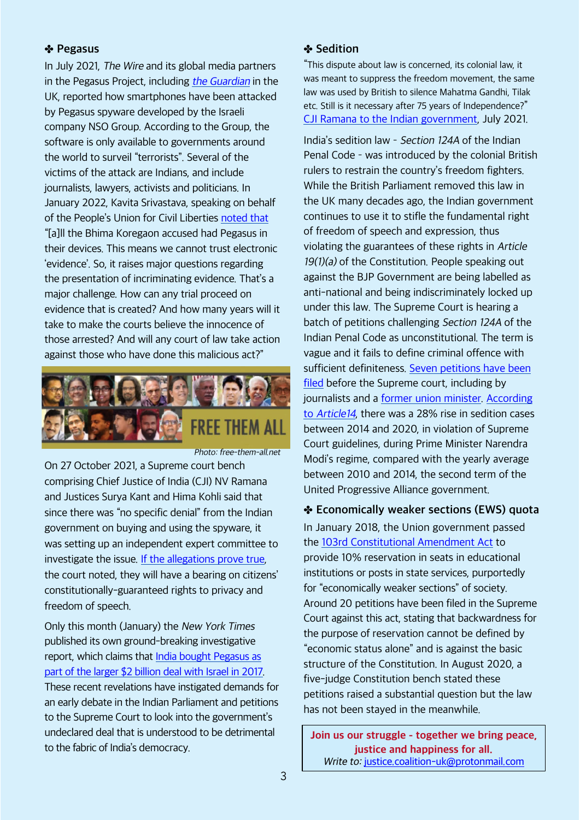#### ✤ **Pegasus**

In July 2021, The Wire and its global media partners in the Pegasus Project, including the [Guardian](https://www.theguardian.com/news/series/pegasus-project) in the UK, reported how smartphones have been attacked by Pegasus spyware developed by the Israeli company NSO Group. According to the Group, the software is only available to governments around the world to surveil "terrorists". Several of the victims of the attack are Indians, and include journalists, lawyers, activists and politicians. In January 2022, Kavita Srivastava, speaking on behalf of the People's Union for Civil Liberties [noted that](https://www.dailymaverick.co.za/article/2022-01-26-indias-government-unleashing-controversial-unlawful-activities-prevention-act-as-means-of-silencing-civil-rights-activists/) "[a]ll the Bhima Koregaon accused had Pegasus in their devices. This means we cannot trust electronic 'evidence'. So, it raises major questions regarding the presentation of incriminating evidence. That's a major challenge. How can any trial proceed on evidence that is created? And how many years will it take to make the courts believe the innocence of those arrested? And will any court of law take action against those who have done this malicious act?"



Photo: free-them-all.net

On 27 October 2021, a Supreme court bench comprising Chief Justice of India (CJI) NV Ramana and Justices Surya Kant and Hima Kohli said that since there was "no specific denial" from the Indian government on buying and using the spyware, it was setting up an independent expert committee to investigate the issue. [If the allegations prove true,](https://thewire.in/law/seven-things-the-supreme-court-has-asked-the-pegasus-probe-committee-to-look-into) the court noted, they will have a bearing on citizens' constitutionally-guaranteed rights to privacy and freedom of speech.

Only this month (January) the New York Times published its own ground-breaking investigative report, which claims that [India bought Pegasus as](https://www.nytimes.com/2022/01/28/magazine/nso-group-israel-spyware.html) [part of the larger \\$2 billion deal with Israel in 2017.](https://www.nytimes.com/2022/01/28/magazine/nso-group-israel-spyware.html) These recent revelations have instigated demands for an early debate in the Indian Parliament and petitions to the Supreme Court to look into the government's undeclared deal that is understood to be detrimental to the fabric of India's democracy.

#### ✤ **Sedition**

"This dispute about law is concerned, its colonial law, it was meant to suppress the freedom movement, the same law was used by British to silence Mahatma Gandhi, Tilak etc. Still is it necessary after 75 years of Independence?" [CJI Ramana to the Indian government](https://thewire.in/law/supreme-court-sedition-colonial-era-independence-section-124a), July 2021.

India's sedition law - Section 124A of the Indian Penal Code - was introduced by the colonial British rulers to restrain the country's freedom fighters. While the British Parliament removed this law in the UK many decades ago, the Indian government continues to use it to stifle the fundamental right of freedom of speech and expression, thus violating the guarantees of these rights in Article 19(1)(a) of the Constitution. People speaking out against the BJP Government are being labelled as anti-national and being indiscriminately locked up under this law. The Supreme Court is hearing a batch of petitions challenging Section 124A of the Indian Penal Code as unconstitutional. The term is vague and it fails to define criminal offence with sufficient definiteness. [Seven petitions have been](https://www.barandbench.com/news/litigation/sedition-7-petitions-in-supreme-court-challenging-section-124a-ipc) [filed](https://www.barandbench.com/news/litigation/sedition-7-petitions-in-supreme-court-challenging-section-124a-ipc) before the Supreme court, including by journalists and a [former union minister](https://thewire.in/law/arun-shourie-sc-constitutional-validity-sedition-section-124a). [According](https://www.article-14.com/post/our-new-database-reveals-rise-in-sedition-cases-in-the-modi-era) to [Article14](https://www.article-14.com/post/our-new-database-reveals-rise-in-sedition-cases-in-the-modi-era), there was a 28% rise in sedition cases between 2014 and 2020, in violation of Supreme Court guidelines, during Prime Minister Narendra Modi's regime, compared with the yearly average between 2010 and 2014, the second term of the United Progressive Alliance government.

✤ **Economically weaker sections (EWS) quota** In January 2018, the Union government passed the [103rd Constitutional Amendment Act](https://www.livelaw.in/top-stories/breaking-economic-quota-bill-103rd-constitution-amendment-gets-presidents-assent-142064) to provide 10% reservation in seats in educational institutions or posts in state services, purportedly for "economically weaker sections" of society. Around 20 petitions have been filed in the Supreme Court against this act, stating that backwardness for the purpose of reservation cannot be defined by "economic status alone" and is against the basic structure of the Constitution. In August 2020, a five-judge Constitution bench stated these petitions raised a substantial question but the law has not been stayed in the meanwhile.

**Join us our struggle - together we bring peace, justice and happiness for all.** Write to: [justice.coalition-uk@protonmail.com](mailto:justice.coalition-uk@protonmail.com)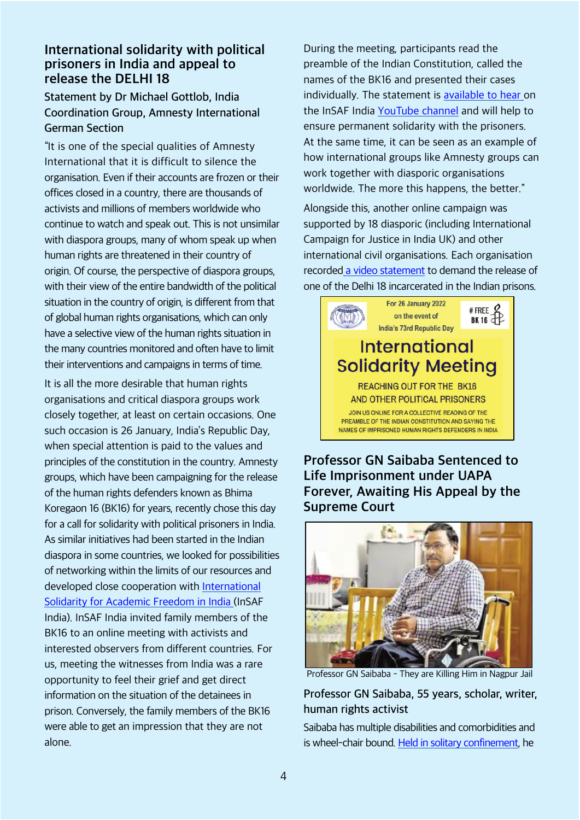### **International solidarity with political prisoners in India and appeal to release the DELHI 18**

### **Statement by Dr Michael Gottlob, India Coordination Group, Amnesty International German Section**

"It is one of the special qualities of Amnesty International that it is difficult to silence the organisation. Even if their accounts are frozen or their offices closed in a country, there are thousands of activists and millions of members worldwide who continue to watch and speak out. This is not unsimilar with diaspora groups, many of whom speak up when human rights are threatened in their country of origin. Of course, the perspective of diaspora groups, with their view of the entire bandwidth of the political situation in the country of origin, is different from that of global human rights organisations, which can only have a selective view of the human rights situation in the many countries monitored and often have to limit their interventions and campaigns in terms of time.

It is all the more desirable that human rights organisations and critical diaspora groups work closely together, at least on certain occasions. One such occasion is 26 January, India's Republic Day, when special attention is paid to the values and principles of the constitution in the country. Amnesty groups, which have been campaigning for the release of the human rights defenders known as Bhima Koregaon 16 (BK16) for years, recently chose this day for a call for solidarity with political prisoners in India. As similar initiatives had been started in the Indian diaspora in some countries, we looked for possibilities of networking within the limits of our resources and developed close cooperation with [International](https://www.academicfreedomindia.com) [Solidarity for Academic Freedom in India](https://www.academicfreedomindia.com) (InSAF India). InSAF India invited family members of the BK16 to an online meeting with activists and interested observers from different countries. For us, meeting the witnesses from India was a rare opportunity to feel their grief and get direct information on the situation of the detainees in prison. Conversely, the family members of the BK16 were able to get an impression that they are not alone.

During the meeting, participants read the preamble of the Indian Constitution, called the names of the BK16 and presented their cases individually. The statement is [available to hear](https://www.youtube.com/watch?v=s3VOSai2mDY) on the InSAF India [YouTube channel](https://www.youtube.com/watch?v=s3VOSai2mDY) and will help to ensure permanent solidarity with the prisoners. At the same time, it can be seen as an example of how international groups like Amnesty groups can work together with diasporic organisations worldwide. The more this happens, the better."

Alongside this, another online campaign was supported by 18 diasporic (including International Campaign for Justice in India UK) and other international civil organisations. Each organisation recorded [a video statement](https://twitter.com/right2dissent20/status/1486931528840007682) to demand the release of one of the Delhi 18 incarcerated in the Indian prisons.



**Professor GN Saibaba Sentenced to Life Imprisonment under UAPA Forever, Awaiting His Appeal by the Supreme Court**



Professor GN Saibaba - They are Killing Him in Nagpur Jail

### **Professor GN Saibaba, 55 years, scholar, writer, human rights activist**

Saibaba has multiple disabilities and comorbidities and is wheel-chair bound. [Held in solitary confinement](https://scroll.in/latest/884552/united-nations-rights-experts-urge-india-to-release-jailed-delhi-university-professor-gn-saibaba#:~:text=United%2520Nations%2520rights%2520experts%2520urge%2520India%2520to%2520release%2520jailed%2520Delhi%2520University%2520professor%2520GN%2520Saibaba), he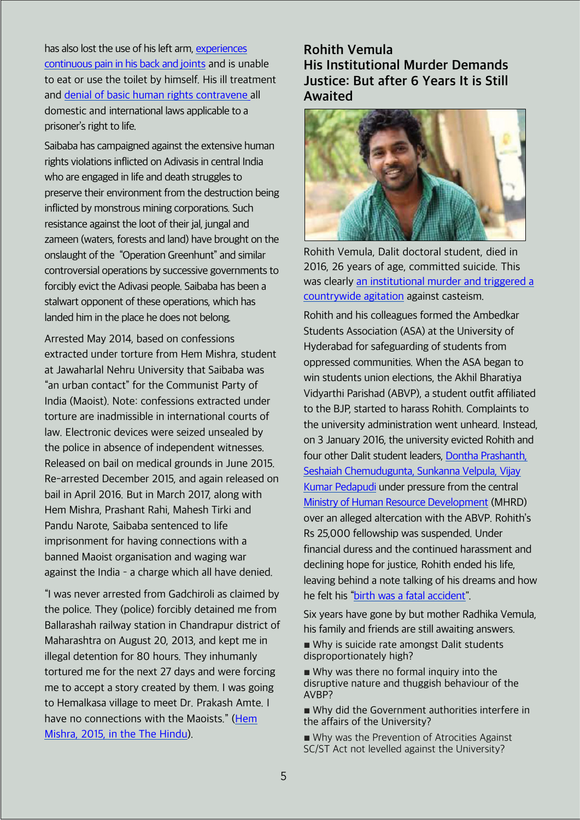has also lost the use of his left arm, [experiences](https://scroll.in/latest/987241/gn-saibabas-life-at-risk-human-rights-civil-society-groups-demand-release-of-ex-du-professor) [continuous pain in his back and](https://scroll.in/latest/987241/gn-saibabas-life-at-risk-human-rights-civil-society-groups-demand-release-of-ex-du-professor) joints and is unable to eat or use the toilet by himself. His ill treatment and [denial of basic human rights contravene](https://www.youtube.com/watch?v=g_cS9sN91nQ&ab_channel=TheWire) all domestic and international laws applicable to a prisoner's right to life.

Saibaba has campaigned against the extensive human rights violations inflicted on Adivasis in central India who are engaged in life and death struggles to preserve their environment from the destruction being inflicted by monstrous mining corporations. Such resistance against the loot of their jal, jungal and zameen (waters, forests and land) have brought on the onslaught of the "Operation Greenhunt" and similar controversial operations by successive governments to forcibly evict the Adivasi people. Saibaba has been a stalwart opponent of these operations, which has landed him in the place he does not belong.

Arrested May 2014, based on confessions extracted under torture from Hem Mishra, student at Jawaharlal Nehru University that Saibaba was "an urban contact" for the Communist Party of India (Maoist). Note: confessions extracted under torture are inadmissible in international courts of law. Electronic devices were seized unsealed by the police in absence of independent witnesses. Released on bail on medical grounds in June 2015. Re-arrested December 2015, and again released on bail in April 2016. But in March 2017, along with Hem Mishra, Prashant Rahi, Mahesh Tirki and Pandu Narote, Saibaba sentenced to life imprisonment for having connections with a banned Maoist organisation and waging war against the India  $-$  a charge which all have denied.

"I was never arrested from Gadchiroli as claimed by the police. They (police) forcibly detained me from Ballarashah railway station in Chandrapur district of Maharashtra on August 20, 2013, and kept me in illegal detention for 80 hours. They inhumanly tortured me for the next 27 days and were forcing me to accept a story created by them. I was going to Hemalkasa village to meet Dr. Prakash Amte. I have no connections with the Maoists." [\(Hem](https://www.thehindu.com/news/national/my-arrest-was-an-attempt-to-terrorise-student-community-says-hem-mishra/article7630270.ece) [Mishra, 2015, in the The Hindu](https://www.thehindu.com/news/national/my-arrest-was-an-attempt-to-terrorise-student-community-says-hem-mishra/article7630270.ece)).

# **Rohith Vemula His Institutional Murder Demands Justice: But after 6 Years It is Still Awaited**



Rohith Vemula, Dalit doctoral student, died in 2016, 26 years of age, committed suicide. This was clearly [an institutional murder and triggered a](https://www.thequint.com/news/india/rohith-vemula-friend-ramji-recounts-loss-and-ambedkar-legacy#:~:text=Five%2520Years%2520On%252C%2520Rohith%25E2%2580%2599s%2520Friend%2520Chooses%2520Different%2520Path%2520to%2520Same%2520Goal) [countrywide agitation](https://www.thequint.com/news/india/rohith-vemula-friend-ramji-recounts-loss-and-ambedkar-legacy#:~:text=Five%2520Years%2520On%252C%2520Rohith%25E2%2580%2599s%2520Friend%2520Chooses%2520Different%2520Path%2520to%2520Same%2520Goal) against casteism.

Rohith and his colleagues formed the Ambedkar Students Association (ASA) at the University of Hyderabad for safeguarding of students from oppressed communities. When the ASA began to win students union elections, the Akhil Bharatiya Vidyarthi Parishad (ABVP), a student outfit affiliated to the BJP, started to harass Rohith. Complaints to the university administration went unheard. Instead, on 3 January 2016, the university evicted Rohith and four other Dalit student leaders, [Dontha Prashanth,](https://www.thequint.com/videos/rohith-vemula-death-anniversary-friends-who-were-suspended-with-him-lives-changed) [Seshaiah Chemudugunta, Sunkanna Velpula, Vijay](https://www.thequint.com/videos/rohith-vemula-death-anniversary-friends-who-were-suspended-with-him-lives-changed) [Kumar Pedapudi](https://www.thequint.com/videos/rohith-vemula-death-anniversary-friends-who-were-suspended-with-him-lives-changed) under pressure from the central [Ministry of Human Resource](https://www.thequint.com/news/india/rohith-vemula-suicide-ndtv-times-now-prime-time-dalit) Development (MHRD) over an alleged altercation with the ABVP. Rohith's Rs 25,000 fellowship was suspended. Under financial duress and the continued harassment and declining hope for justice, Rohith ended his life, leaving behind a note talking of his dreams and how he felt his ["birth was a fatal accident"](https://countercurrents.org/2022/01/my-birth-is-my-fatal-accident-the-story-of-many-marginalised-like-rohith-vemula/).

Six years have gone by but mother Radhika Vemula, his family and friends are still awaiting answers.

■ Why is suicide rate amongst Dalit students disproportionately high?

■ Why was there no formal inquiry into the disruptive nature and thuggish behaviour of the AVBP?

■ Why did the Government authorities interfere in the affairs of the University?

■ Why was the Prevention of Atrocities Against SC/ST Act not levelled against the University?